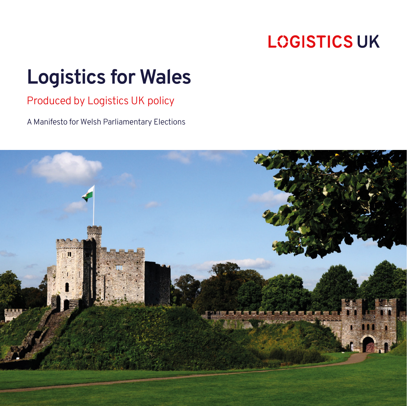# **LOGISTICS UK**

# **Logistics for Wales**

Produced by Logistics UK policy

A Manifesto for Welsh Parliamentary Elections

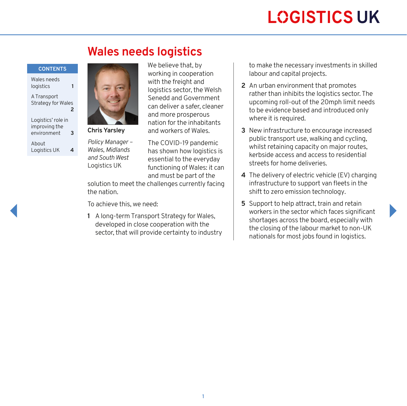# **LOGISTICS UK**

## **Wales needs logistics**

#### **CONTENTS**

Wales needs logistics **1**

[A Transport](#page-2-0)  [Strategy for Wales](#page-2-0) **2**

[Logistics' role in](#page-3-0)  [improving the](#page-3-0)  [environment](#page-3-0) **3** [About](#page-4-0) 

[Logistics UK](#page-4-0) **4**



**Chris Yarsley**

*Policy Manager – Wales, Midlands and South West* Logistics UK

We believe that, by working in cooperation with the freight and logistics sector, the Welsh Senedd and Government can deliver a safer, cleaner and more prosperous nation for the inhabitants and workers of Wales.

The COVID-19 pandemic has shown how logistics is essential to the everyday functioning of Wales: it can and must be part of the

solution to meet the challenges currently facing the nation.

To achieve this, we need:

**1** A long-term Transport Strategy for Wales, developed in close cooperation with the sector, that will provide certainty to industry to make the necessary investments in skilled labour and capital projects.

- **2** An urban environment that promotes rather than inhibits the logistics sector. The upcoming roll-out of the 20mph limit needs to be evidence based and introduced only where it is required.
- **3** New infrastructure to encourage increased public transport use, walking and cycling, whilst retaining capacity on major routes. kerbside access and access to residential streets for home deliveries.
- **4** The delivery of electric vehicle (EV) charging infrastructure to support van fleets in the shift to zero emission technology.
- **5** Support to help attract, train and retain workers in the sector which faces significant shortages across the board, especially with the closing of the labour market to non-UK nationals for most jobs found in logistics.

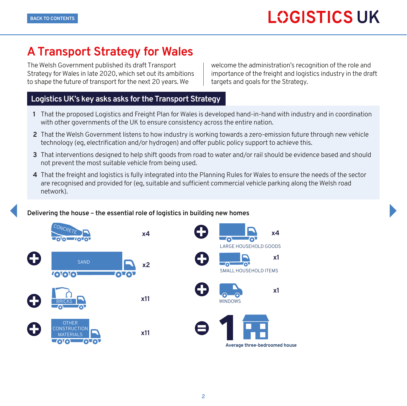## <span id="page-2-0"></span>**A Transport Strategy for Wales**

The Welsh Government published its draft Transport Strategy for Wales in late 2020, which set out its ambitions to shape the future of transport for the next 20 years. We

welcome the administration's recognition of the role and importance of the freight and logistics industry in the draft targets and goals for the Strategy.

### **Logistics UK's key asks asks for the Transport Strategy**

- **1** That the proposed Logistics and Freight Plan for Wales is developed hand-in-hand with industry and in coordination with other governments of the UK to ensure consistency across the entire nation.
- **2** That the Welsh Government listens to how industry is working towards a zero-emission future through new vehicle technology (eg, electrification and/or hydrogen) and offer public policy support to achieve this.
- **3** That interventions designed to help shift goods from road to water and/or rail should be evidence based and should not prevent the most suitable vehicle from being used.
- **4** That the freight and logistics is fully integrated into the Planning Rules for Wales to ensure the needs of the sector are recognised and provided for (eg, suitable and sufficient commercial vehicle parking along the Welsh road network).

### **Delivering the house – the essential role of logistics in building new homes**

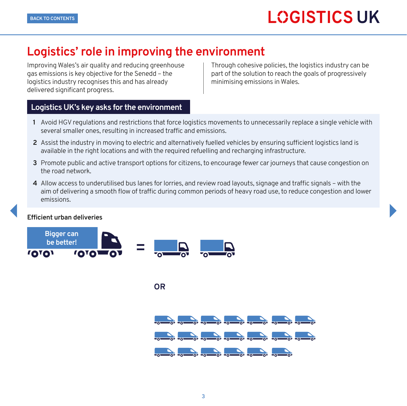## <span id="page-3-0"></span>**Logistics' role in improving the environment**

Improving Wales's air quality and reducing greenhouse gas emissions is key objective for the Senedd – the logistics industry recognises this and has already delivered significant progress.

Through cohesive policies, the logistics industry can be part of the solution to reach the goals of progressively minimising emissions in Wales.

### **Logistics UK's key asks for the environment**

- **1** Avoid HGV regulations and restrictions that force logistics movements to unnecessarily replace a single vehicle with several smaller ones, resulting in increased traffic and emissions.
- **2** Assist the industry in moving to electric and alternatively fuelled vehicles by ensuring sufficient logistics land is available in the right locations and with the required refuelling and recharging infrastructure.
- **3** Promote public and active transport options for citizens, to encourage fewer car journeys that cause congestion on the road network.
- **4** Allow access to underutilised bus lanes for lorries, and review road layouts, signage and traffic signals with the aim of delivering a smooth flow of traffic during common periods of heavy road use, to reduce congestion and lower emissions.

#### **Efficient urban deliveries**



**OR**